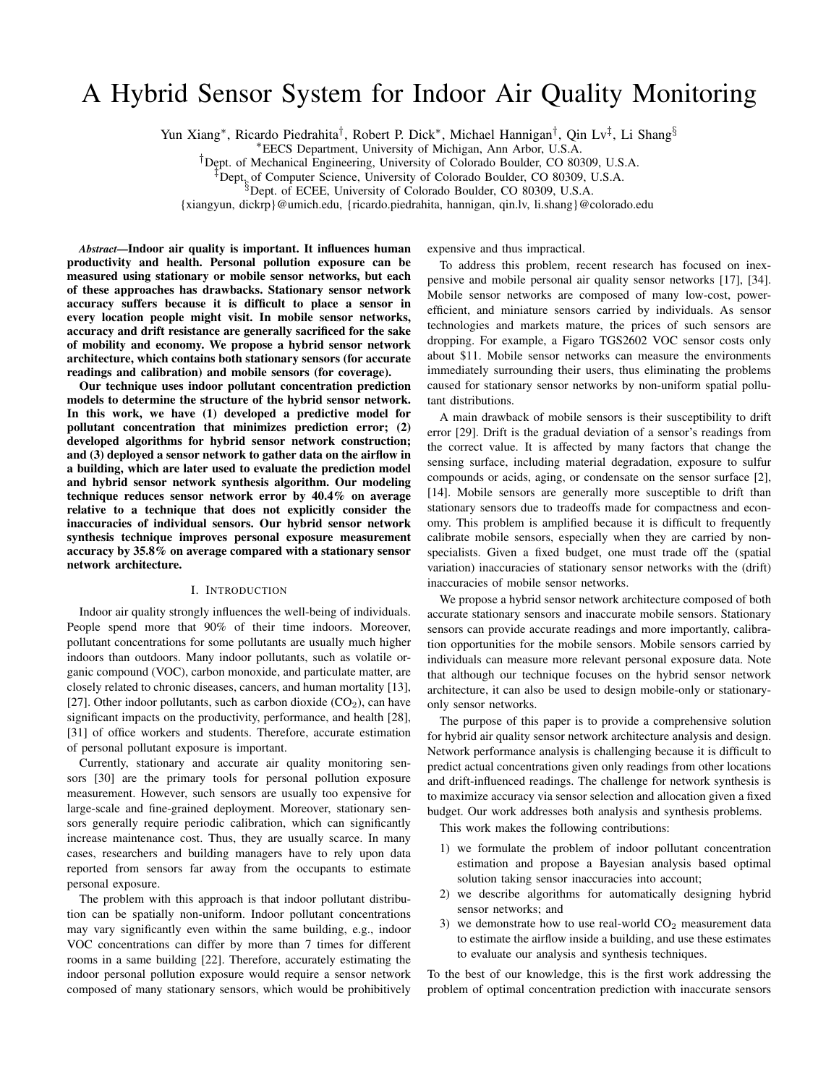# A Hybrid Sensor System for Indoor Air Quality Monitoring

Yun Xiang<sup>∗</sup>, Ricardo Piedrahita<sup>†</sup>, Robert P. Dick<sup>∗</sup>, Michael Hannigan<sup>†</sup>, Qin Lv<sup>‡</sup>, Li Shang<sup>§</sup>

<sup>∗</sup>EECS Department, University of Michigan, Ann Arbor, U.S.A.

†Dept. of Mechanical Engineering, University of Colorado Boulder, CO 80309, U.S.A.

‡Dept. of Computer Science, University of Colorado Boulder, CO 80309, U.S.A.

§Dept. of ECEE, University of Colorado Boulder, CO 80309, U.S.A.

{xiangyun, dickrp}@umich.edu, {ricardo.piedrahita, hannigan, qin.lv, li.shang}@colorado.edu

*Abstract*—Indoor air quality is important. It influences human productivity and health. Personal pollution exposure can be measured using stationary or mobile sensor networks, but each of these approaches has drawbacks. Stationary sensor network accuracy suffers because it is difficult to place a sensor in every location people might visit. In mobile sensor networks, accuracy and drift resistance are generally sacrificed for the sake of mobility and economy. We propose a hybrid sensor network architecture, which contains both stationary sensors (for accurate readings and calibration) and mobile sensors (for coverage).

Our technique uses indoor pollutant concentration prediction models to determine the structure of the hybrid sensor network. In this work, we have (1) developed a predictive model for pollutant concentration that minimizes prediction error; (2) developed algorithms for hybrid sensor network construction; and (3) deployed a sensor network to gather data on the airflow in a building, which are later used to evaluate the prediction model and hybrid sensor network synthesis algorithm. Our modeling technique reduces sensor network error by 40.4% on average relative to a technique that does not explicitly consider the inaccuracies of individual sensors. Our hybrid sensor network synthesis technique improves personal exposure measurement accuracy by 35.8% on average compared with a stationary sensor network architecture.

## I. INTRODUCTION

Indoor air quality strongly influences the well-being of individuals. People spend more that 90% of their time indoors. Moreover, pollutant concentrations for some pollutants are usually much higher indoors than outdoors. Many indoor pollutants, such as volatile organic compound (VOC), carbon monoxide, and particulate matter, are closely related to chronic diseases, cancers, and human mortality [13], [27]. Other indoor pollutants, such as carbon dioxide  $(CO<sub>2</sub>)$ , can have significant impacts on the productivity, performance, and health [28], [31] of office workers and students. Therefore, accurate estimation of personal pollutant exposure is important.

Currently, stationary and accurate air quality monitoring sensors [30] are the primary tools for personal pollution exposure measurement. However, such sensors are usually too expensive for large-scale and fine-grained deployment. Moreover, stationary sensors generally require periodic calibration, which can significantly increase maintenance cost. Thus, they are usually scarce. In many cases, researchers and building managers have to rely upon data reported from sensors far away from the occupants to estimate personal exposure.

The problem with this approach is that indoor pollutant distribution can be spatially non-uniform. Indoor pollutant concentrations may vary significantly even within the same building, e.g., indoor VOC concentrations can differ by more than 7 times for different rooms in a same building [22]. Therefore, accurately estimating the indoor personal pollution exposure would require a sensor network composed of many stationary sensors, which would be prohibitively expensive and thus impractical.

To address this problem, recent research has focused on inexpensive and mobile personal air quality sensor networks [17], [34]. Mobile sensor networks are composed of many low-cost, powerefficient, and miniature sensors carried by individuals. As sensor technologies and markets mature, the prices of such sensors are dropping. For example, a Figaro TGS2602 VOC sensor costs only about \$11. Mobile sensor networks can measure the environments immediately surrounding their users, thus eliminating the problems caused for stationary sensor networks by non-uniform spatial pollutant distributions.

A main drawback of mobile sensors is their susceptibility to drift error [29]. Drift is the gradual deviation of a sensor's readings from the correct value. It is affected by many factors that change the sensing surface, including material degradation, exposure to sulfur compounds or acids, aging, or condensate on the sensor surface [2], [14]. Mobile sensors are generally more susceptible to drift than stationary sensors due to tradeoffs made for compactness and economy. This problem is amplified because it is difficult to frequently calibrate mobile sensors, especially when they are carried by nonspecialists. Given a fixed budget, one must trade off the (spatial variation) inaccuracies of stationary sensor networks with the (drift) inaccuracies of mobile sensor networks.

We propose a hybrid sensor network architecture composed of both accurate stationary sensors and inaccurate mobile sensors. Stationary sensors can provide accurate readings and more importantly, calibration opportunities for the mobile sensors. Mobile sensors carried by individuals can measure more relevant personal exposure data. Note that although our technique focuses on the hybrid sensor network architecture, it can also be used to design mobile-only or stationaryonly sensor networks.

The purpose of this paper is to provide a comprehensive solution for hybrid air quality sensor network architecture analysis and design. Network performance analysis is challenging because it is difficult to predict actual concentrations given only readings from other locations and drift-influenced readings. The challenge for network synthesis is to maximize accuracy via sensor selection and allocation given a fixed budget. Our work addresses both analysis and synthesis problems.

This work makes the following contributions:

- 1) we formulate the problem of indoor pollutant concentration estimation and propose a Bayesian analysis based optimal solution taking sensor inaccuracies into account;
- 2) we describe algorithms for automatically designing hybrid sensor networks; and
- 3) we demonstrate how to use real-world  $CO<sub>2</sub>$  measurement data to estimate the airflow inside a building, and use these estimates to evaluate our analysis and synthesis techniques.

To the best of our knowledge, this is the first work addressing the problem of optimal concentration prediction with inaccurate sensors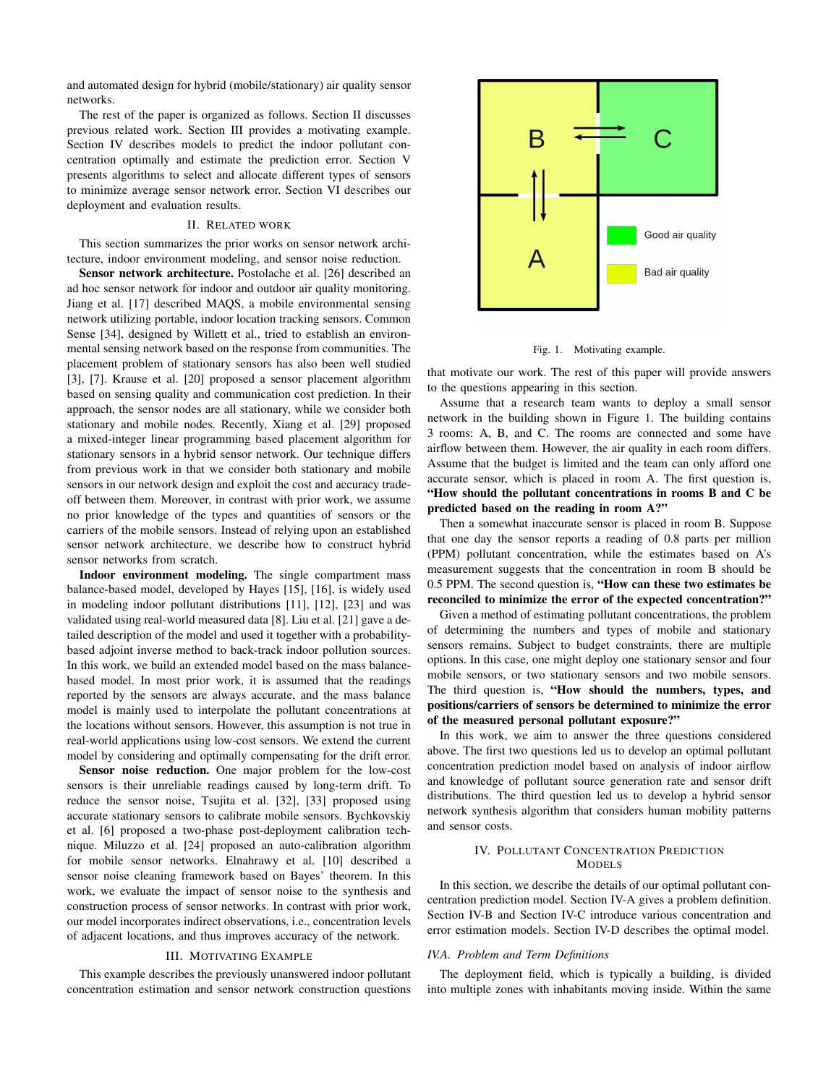and automated design for hybrid (mobile/stationary) air quality sensor networks.

The rest of the paper is organized as follows. Section II discusses previous related work. Section III provides a motivating example. Section IV describes models to predict the indoor pollutant concentration optimally and estimate the prediction error. Section V presents algorithms to select and allocate different types of sensors to minimize average sensor network error. Section VI describes our deployment and evaluation results.

## II. RELATED WORK

This section summarizes the prior works on sensor network architecture, indoor environment modeling, and sensor noise reduction.

Sensor network architecture. Postolache et al. [26] described an ad hoc sensor network for indoor and outdoor air quality monitoring. Jiang et al. [17] described MAQS, a mobile environmental sensing network utilizing portable, indoor location tracking sensors. Common Sense [34], designed by Willett et al., tried to establish an environmental sensing network based on the response from communities. The placement problem of stationary sensors has also been well studied [3], [7]. Krause et al. [20] proposed a sensor placement algorithm based on sensing quality and communication cost prediction. In their approach, the sensor nodes are all stationary, while we consider both stationary and mobile nodes. Recently, Xiang et al. [29] proposed a mixed-integer linear programming based placement algorithm for stationary sensors in a hybrid sensor network. Our technique differs from previous work in that we consider both stationary and mobile sensors in our network design and exploit the cost and accuracy tradeoff between them. Moreover, in contrast with prior work, we assume no prior knowledge of the types and quantities of sensors or the carriers of the mobile sensors. Instead of relying upon an established sensor network architecture, we describe how to construct hybrid sensor networks from scratch.

Indoor environment modeling. The single compartment mass balance-based model, developed by Hayes [15], [16], is widely used in modeling indoor pollutant distributions [11], [12], [23] and was validated using real-world measured data [8]. Liu et al. [21] gave a detailed description of the model and used it together with a probabilitybased adjoint inverse method to back-track indoor pollution sources. In this work, we build an extended model based on the mass balancebased model. In most prior work, it is assumed that the readings reported by the sensors are always accurate, and the mass balance model is mainly used to interpolate the pollutant concentrations at the locations without sensors. However, this assumption is not true in real-world applications using low-cost sensors. We extend the current model by considering and optimally compensating for the drift error.

Sensor noise reduction. One major problem for the low-cost sensors is their unreliable readings caused by long-term drift. To reduce the sensor noise, Tsujita et al. [32], [33] proposed using accurate stationary sensors to calibrate mobile sensors. Bychkovskiy et al. [6] proposed a two-phase post-deployment calibration technique. Miluzzo et al. [24] proposed an auto-calibration algorithm for mobile sensor networks. Elnahrawy et al. [10] described a sensor noise cleaning framework based on Bayes' theorem. In this work, we evaluate the impact of sensor noise to the synthesis and construction process of sensor networks. In contrast with prior work, our model incorporates indirect observations, i.e., concentration levels of adjacent locations, and thus improves accuracy of the network.

# III. MOTIVATING EXAMPLE

This example describes the previously unanswered indoor pollutant concentration estimation and sensor network construction questions





that motivate our work. The rest of this paper will provide answers to the questions appearing in this section.

Assume that a research team wants to deploy a small sensor network in the building shown in Figure 1. The building contains 3 rooms: A, B, and C. The rooms are connected and some have airflow between them. However, the air quality in each room differs. Assume that the budget is limited and the team can only afford one accurate sensor, which is placed in room A. The first question is, "How should the pollutant concentrations in rooms B and C be predicted based on the reading in room A?"

Then a somewhat inaccurate sensor is placed in room B. Suppose that one day the sensor reports a reading of 0.8 parts per million (PPM) pollutant concentration, while the estimates based on A's measurement suggests that the concentration in room B should be 0.5 PPM. The second question is, "How can these two estimates be reconciled to minimize the error of the expected concentration?"

Given a method of estimating pollutant concentrations, the problem of determining the numbers and types of mobile and stationary sensors remains. Subject to budget constraints, there are multiple options. In this case, one might deploy one stationary sensor and four mobile sensors, or two stationary sensors and two mobile sensors. The third question is, "How should the numbers, types, and positions/carriers of sensors be determined to minimize the error of the measured personal pollutant exposure?"

In this work, we aim to answer the three questions considered above. The first two questions led us to develop an optimal pollutant concentration prediction model based on analysis of indoor airflow and knowledge of pollutant source generation rate and sensor drift distributions. The third question led us to develop a hybrid sensor network synthesis algorithm that considers human mobility patterns and sensor costs.

# IV. POLLUTANT CONCENTRATION PREDICTION **MODELS**

In this section, we describe the details of our optimal pollutant concentration prediction model. Section IV-A gives a problem definition. Section IV-B and Section IV-C introduce various concentration and error estimation models. Section IV-D describes the optimal model.

# *IV.A. Problem and Term Definitions*

The deployment field, which is typically a building, is divided into multiple zones with inhabitants moving inside. Within the same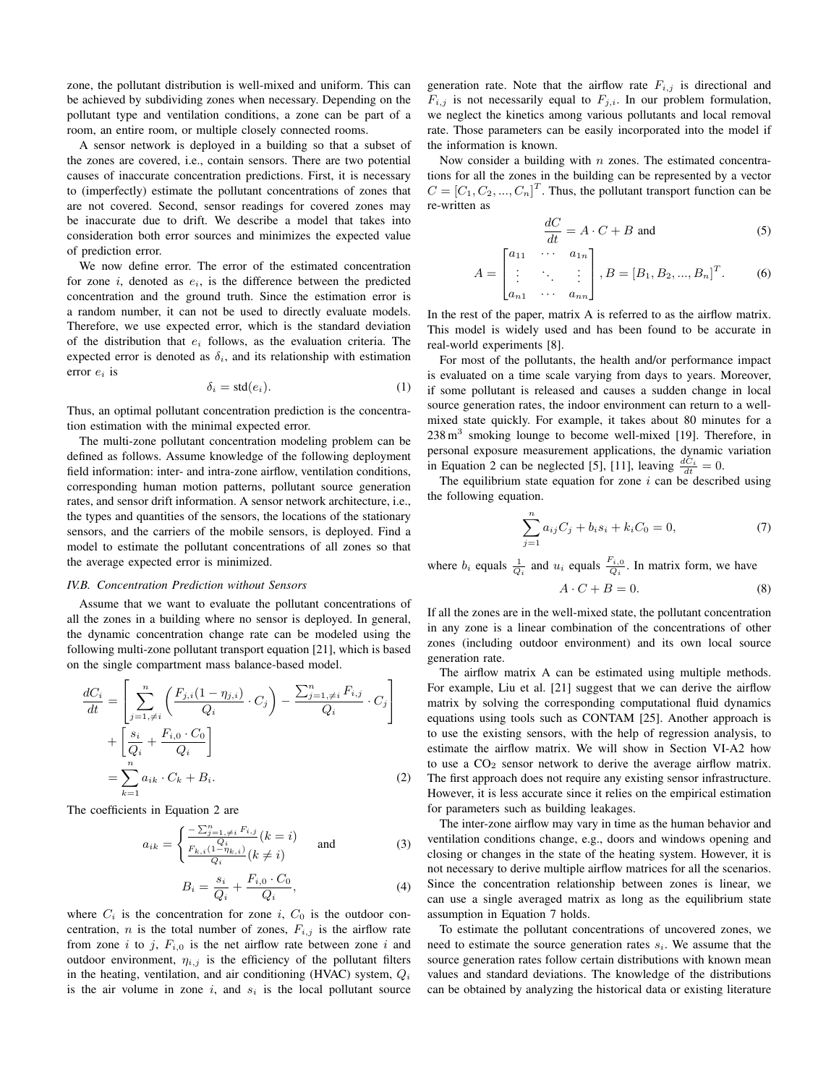zone, the pollutant distribution is well-mixed and uniform. This can be achieved by subdividing zones when necessary. Depending on the pollutant type and ventilation conditions, a zone can be part of a room, an entire room, or multiple closely connected rooms.

A sensor network is deployed in a building so that a subset of the zones are covered, i.e., contain sensors. There are two potential causes of inaccurate concentration predictions. First, it is necessary to (imperfectly) estimate the pollutant concentrations of zones that are not covered. Second, sensor readings for covered zones may be inaccurate due to drift. We describe a model that takes into consideration both error sources and minimizes the expected value of prediction error.

We now define error. The error of the estimated concentration for zone  $i$ , denoted as  $e_i$ , is the difference between the predicted concentration and the ground truth. Since the estimation error is a random number, it can not be used to directly evaluate models. Therefore, we use expected error, which is the standard deviation of the distribution that  $e_i$  follows, as the evaluation criteria. The expected error is denoted as  $\delta_i$ , and its relationship with estimation error  $e_i$  is

$$
\delta_i = \text{std}(e_i). \tag{1}
$$

Thus, an optimal pollutant concentration prediction is the concentration estimation with the minimal expected error.

The multi-zone pollutant concentration modeling problem can be defined as follows. Assume knowledge of the following deployment field information: inter- and intra-zone airflow, ventilation conditions, corresponding human motion patterns, pollutant source generation rates, and sensor drift information. A sensor network architecture, i.e., the types and quantities of the sensors, the locations of the stationary sensors, and the carriers of the mobile sensors, is deployed. Find a model to estimate the pollutant concentrations of all zones so that the average expected error is minimized.

## *IV.B. Concentration Prediction without Sensors*

Assume that we want to evaluate the pollutant concentrations of all the zones in a building where no sensor is deployed. In general, the dynamic concentration change rate can be modeled using the following multi-zone pollutant transport equation [21], which is based on the single compartment mass balance-based model.

$$
\frac{dC_i}{dt} = \left[ \sum_{j=1,\neq i}^n \left( \frac{F_{j,i}(1-\eta_{j,i})}{Q_i} \cdot C_j \right) - \frac{\sum_{j=1,\neq i}^n F_{i,j}}{Q_i} \cdot C_j \right] + \left[ \frac{s_i}{Q_i} + \frac{F_{i,0} \cdot C_0}{Q_i} \right]
$$
\n
$$
= \sum_{k=1}^n a_{ik} \cdot C_k + B_i.
$$
\n(2)

The coefficients in Equation 2 are

$$
a_{ik} = \begin{cases} \frac{-\sum_{j=1,\neq i}^{n} F_{i,j}}{Q_i} (k=i) & \text{and} \\ \frac{F_{k,i}(1-\eta_{k,i})}{Q_i} (k \neq i) & \end{cases}
$$
 (3)

$$
B_i = \frac{s_i}{Q_i} + \frac{F_{i,0} \cdot C_0}{Q_i},
$$
\n(4)

where  $C_i$  is the concentration for zone i,  $C_0$  is the outdoor concentration, *n* is the total number of zones,  $F_{i,j}$  is the airflow rate from zone i to j,  $F_{i,0}$  is the net airflow rate between zone i and outdoor environment,  $\eta_{i,j}$  is the efficiency of the pollutant filters in the heating, ventilation, and air conditioning (HVAC) system,  $Q_i$ is the air volume in zone  $i$ , and  $s_i$  is the local pollutant source

generation rate. Note that the airflow rate  $F_{i,j}$  is directional and  $F_{i,j}$  is not necessarily equal to  $F_{j,i}$ . In our problem formulation, we neglect the kinetics among various pollutants and local removal rate. Those parameters can be easily incorporated into the model if the information is known.

Now consider a building with  $n$  zones. The estimated concentrations for all the zones in the building can be represented by a vector  $C = [C_1, C_2, ..., C_n]^T$ . Thus, the pollutant transport function can be re-written as

$$
\frac{dC}{dt} = A \cdot C + B \text{ and } \tag{5}
$$

$$
A = \begin{bmatrix} a_{11} & \cdots & a_{1n} \\ \vdots & \ddots & \vdots \\ a_{n1} & \cdots & a_{nn} \end{bmatrix}, B = [B_1, B_2, ..., B_n]^T.
$$
 (6)

In the rest of the paper, matrix A is referred to as the airflow matrix. This model is widely used and has been found to be accurate in real-world experiments [8].

For most of the pollutants, the health and/or performance impact is evaluated on a time scale varying from days to years. Moreover, if some pollutant is released and causes a sudden change in local source generation rates, the indoor environment can return to a wellmixed state quickly. For example, it takes about 80 minutes for a  $238 \text{ m}^3$  smoking lounge to become well-mixed [19]. Therefore, in personal exposure measurement applications, the dynamic variation in Equation 2 can be neglected [5], [11], leaving  $\frac{dC_i}{dt} = 0$ .

The equilibrium state equation for zone  $i$  can be described using the following equation.

$$
\sum_{j=1}^{n} a_{ij} C_j + b_i s_i + k_i C_0 = 0,
$$
\n(7)

where  $b_i$  equals  $\frac{1}{Q_i}$  and  $u_i$  equals  $\frac{F_{i,0}}{Q_i}$ . In matrix form, we have

$$
A \cdot C + B = 0. \tag{8}
$$

If all the zones are in the well-mixed state, the pollutant concentration in any zone is a linear combination of the concentrations of other zones (including outdoor environment) and its own local source generation rate.

The airflow matrix A can be estimated using multiple methods. For example, Liu et al. [21] suggest that we can derive the airflow matrix by solving the corresponding computational fluid dynamics equations using tools such as CONTAM [25]. Another approach is to use the existing sensors, with the help of regression analysis, to estimate the airflow matrix. We will show in Section VI-A2 how to use a  $CO<sub>2</sub>$  sensor network to derive the average airflow matrix. The first approach does not require any existing sensor infrastructure. However, it is less accurate since it relies on the empirical estimation for parameters such as building leakages.

The inter-zone airflow may vary in time as the human behavior and ventilation conditions change, e.g., doors and windows opening and closing or changes in the state of the heating system. However, it is not necessary to derive multiple airflow matrices for all the scenarios. Since the concentration relationship between zones is linear, we can use a single averaged matrix as long as the equilibrium state assumption in Equation 7 holds.

To estimate the pollutant concentrations of uncovered zones, we need to estimate the source generation rates  $s_i$ . We assume that the source generation rates follow certain distributions with known mean values and standard deviations. The knowledge of the distributions can be obtained by analyzing the historical data or existing literature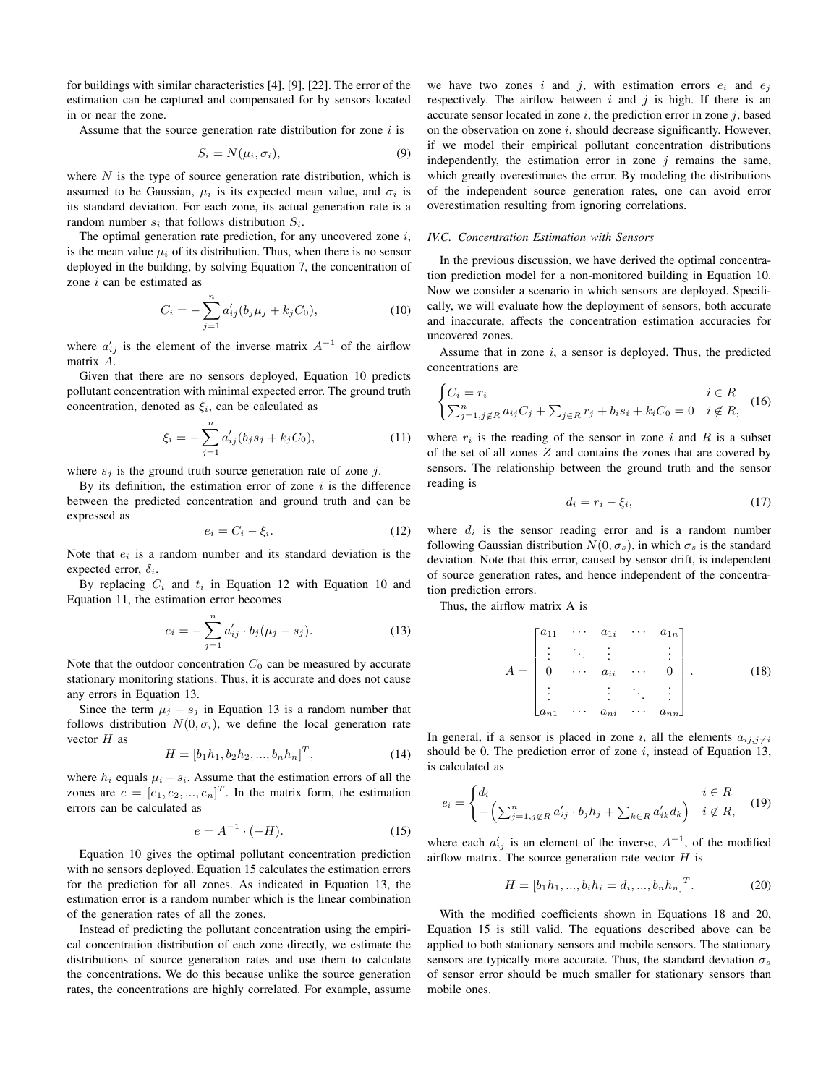for buildings with similar characteristics [4], [9], [22]. The error of the estimation can be captured and compensated for by sensors located in or near the zone.

Assume that the source generation rate distribution for zone  $i$  is

$$
S_i = N(\mu_i, \sigma_i), \tag{9}
$$

where  $N$  is the type of source generation rate distribution, which is assumed to be Gaussian,  $\mu_i$  is its expected mean value, and  $\sigma_i$  is its standard deviation. For each zone, its actual generation rate is a random number  $s_i$  that follows distribution  $S_i$ .

The optimal generation rate prediction, for any uncovered zone i, is the mean value  $\mu_i$  of its distribution. Thus, when there is no sensor deployed in the building, by solving Equation 7, the concentration of zone i can be estimated as

$$
C_i = -\sum_{j=1}^{n} a'_{ij} (b_j \mu_j + k_j C_0), \qquad (10)
$$

where  $a'_{ij}$  is the element of the inverse matrix  $A^{-1}$  of the airflow matrix A.

Given that there are no sensors deployed, Equation 10 predicts pollutant concentration with minimal expected error. The ground truth concentration, denoted as  $\xi_i$ , can be calculated as

$$
\xi_i = -\sum_{j=1}^n a'_{ij}(b_j s_j + k_j C_0),\tag{11}
$$

where  $s_i$  is the ground truth source generation rate of zone j.

By its definition, the estimation error of zone  $i$  is the difference between the predicted concentration and ground truth and can be expressed as

$$
e_i = C_i - \xi_i. \tag{12}
$$

Note that  $e_i$  is a random number and its standard deviation is the expected error,  $\delta_i$ .

By replacing  $C_i$  and  $t_i$  in Equation 12 with Equation 10 and Equation 11, the estimation error becomes

$$
e_i = -\sum_{j=1}^{n} a'_{ij} \cdot b_j (\mu_j - s_j). \tag{13}
$$

Note that the outdoor concentration  $C_0$  can be measured by accurate stationary monitoring stations. Thus, it is accurate and does not cause any errors in Equation 13.

Since the term  $\mu_j - s_j$  in Equation 13 is a random number that follows distribution  $N(0, \sigma_i)$ , we define the local generation rate vector  $H$  as

$$
H = [b_1 h_1, b_2 h_2, ..., b_n h_n]^T, \tag{14}
$$

where  $h_i$  equals  $\mu_i - s_i$ . Assume that the estimation errors of all the zones are  $e = [e_1, e_2, ..., e_n]^T$ . In the matrix form, the estimation errors can be calculated as

$$
e = A^{-1} \cdot (-H). \tag{15}
$$

Equation 10 gives the optimal pollutant concentration prediction with no sensors deployed. Equation 15 calculates the estimation errors for the prediction for all zones. As indicated in Equation 13, the estimation error is a random number which is the linear combination of the generation rates of all the zones.

Instead of predicting the pollutant concentration using the empirical concentration distribution of each zone directly, we estimate the distributions of source generation rates and use them to calculate the concentrations. We do this because unlike the source generation rates, the concentrations are highly correlated. For example, assume

we have two zones i and j, with estimation errors  $e_i$  and  $e_j$ respectively. The airflow between  $i$  and  $j$  is high. If there is an accurate sensor located in zone  $i$ , the prediction error in zone  $j$ , based on the observation on zone  $i$ , should decrease significantly. However, if we model their empirical pollutant concentration distributions independently, the estimation error in zone  $j$  remains the same, which greatly overestimates the error. By modeling the distributions of the independent source generation rates, one can avoid error overestimation resulting from ignoring correlations.

#### *IV.C. Concentration Estimation with Sensors*

In the previous discussion, we have derived the optimal concentration prediction model for a non-monitored building in Equation 10. Now we consider a scenario in which sensors are deployed. Specifically, we will evaluate how the deployment of sensors, both accurate and inaccurate, affects the concentration estimation accuracies for uncovered zones.

Assume that in zone  $i$ , a sensor is deployed. Thus, the predicted concentrations are

$$
\begin{cases} C_i = r_i & i \in R \\ \sum_{j=1, j \notin R}^{n} a_{ij} C_j + \sum_{j \in R} r_j + b_i s_i + k_i C_0 = 0 & i \notin R, \end{cases}
$$
 (16)

where  $r_i$  is the reading of the sensor in zone i and R is a subset of the set of all zones Z and contains the zones that are covered by sensors. The relationship between the ground truth and the sensor reading is

$$
d_i = r_i - \xi_i,\tag{17}
$$

where  $d_i$  is the sensor reading error and is a random number following Gaussian distribution  $N(0, \sigma_s)$ , in which  $\sigma_s$  is the standard deviation. Note that this error, caused by sensor drift, is independent of source generation rates, and hence independent of the concentration prediction errors.

Thus, the airflow matrix A is

$$
A = \begin{bmatrix} a_{11} & \cdots & a_{1i} & \cdots & a_{1n} \\ \vdots & \ddots & \vdots & & \vdots \\ 0 & \cdots & a_{ii} & \cdots & 0 \\ \vdots & & \vdots & \ddots & \vdots \\ a_{n1} & \cdots & a_{ni} & \cdots & a_{nn} \end{bmatrix} .
$$
 (18)

In general, if a sensor is placed in zone i, all the elements  $a_{ij,j\neq i}$ should be 0. The prediction error of zone  $i$ , instead of Equation 13, is calculated as

$$
e_i = \begin{cases} d_i & i \in R \\ -\left(\sum_{j=1, j \notin R} a'_{ij} \cdot b_j h_j + \sum_{k \in R} a'_{ik} d_k\right) & i \notin R, \end{cases}
$$
 (19)

where each  $a'_{ij}$  is an element of the inverse,  $A^{-1}$ , of the modified airflow matrix. The source generation rate vector  $H$  is

$$
H = [b_1 h_1, ..., b_i h_i = d_i, ..., b_n h_n]^T.
$$
 (20)

With the modified coefficients shown in Equations 18 and 20, Equation 15 is still valid. The equations described above can be applied to both stationary sensors and mobile sensors. The stationary sensors are typically more accurate. Thus, the standard deviation  $\sigma_s$ of sensor error should be much smaller for stationary sensors than mobile ones.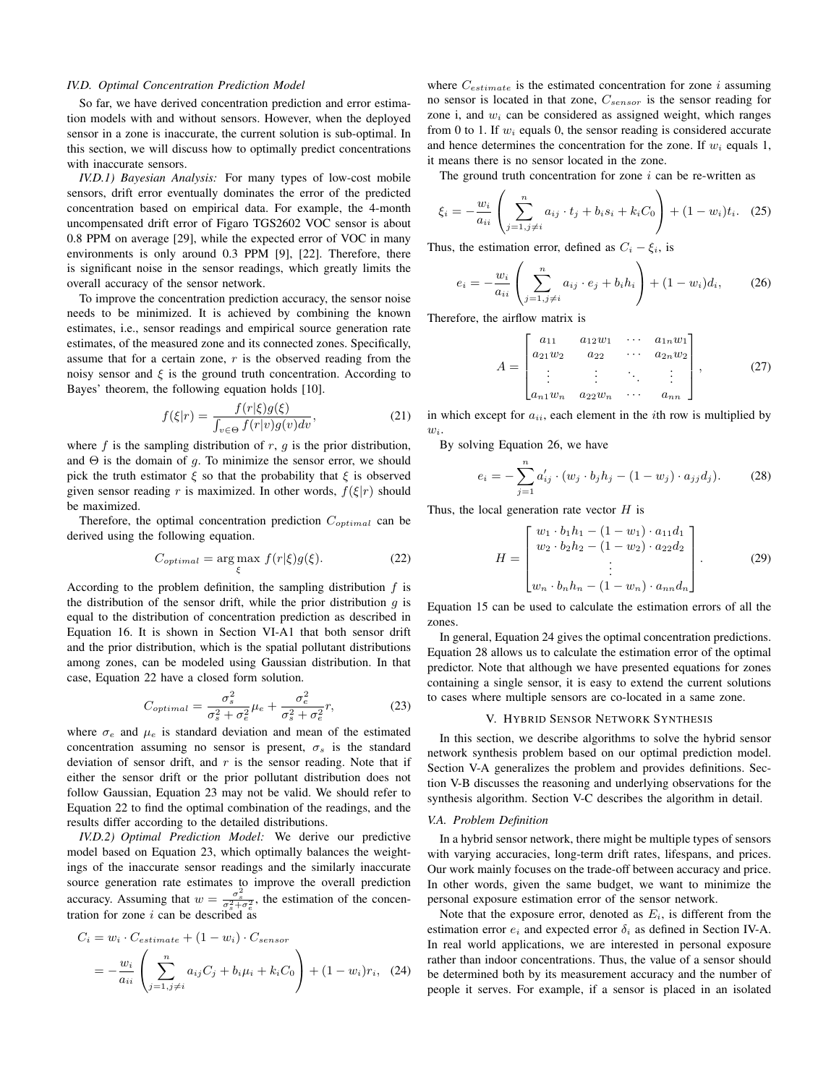## *IV.D. Optimal Concentration Prediction Model*

So far, we have derived concentration prediction and error estimation models with and without sensors. However, when the deployed sensor in a zone is inaccurate, the current solution is sub-optimal. In this section, we will discuss how to optimally predict concentrations with inaccurate sensors.

*IV.D.1) Bayesian Analysis:* For many types of low-cost mobile sensors, drift error eventually dominates the error of the predicted concentration based on empirical data. For example, the 4-month uncompensated drift error of Figaro TGS2602 VOC sensor is about 0.8 PPM on average [29], while the expected error of VOC in many environments is only around 0.3 PPM [9], [22]. Therefore, there is significant noise in the sensor readings, which greatly limits the overall accuracy of the sensor network.

To improve the concentration prediction accuracy, the sensor noise needs to be minimized. It is achieved by combining the known estimates, i.e., sensor readings and empirical source generation rate estimates, of the measured zone and its connected zones. Specifically, assume that for a certain zone,  $r$  is the observed reading from the noisy sensor and  $\xi$  is the ground truth concentration. According to Bayes' theorem, the following equation holds [10].

$$
f(\xi|r) = \frac{f(r|\xi)g(\xi)}{\int_{v \in \Theta} f(r|v)g(v)dv},\tag{21}
$$

where  $f$  is the sampling distribution of  $r$ ,  $g$  is the prior distribution, and  $\Theta$  is the domain of g. To minimize the sensor error, we should pick the truth estimator  $\xi$  so that the probability that  $\xi$  is observed given sensor reading r is maximized. In other words,  $f(\xi|r)$  should be maximized.

Therefore, the optimal concentration prediction  $C_{optimal}$  can be derived using the following equation.

$$
C_{optimal} = \underset{\xi}{\text{arg max}} \ f(r|\xi)g(\xi). \tag{22}
$$

According to the problem definition, the sampling distribution  $f$  is the distribution of the sensor drift, while the prior distribution  $g$  is equal to the distribution of concentration prediction as described in Equation 16. It is shown in Section VI-A1 that both sensor drift and the prior distribution, which is the spatial pollutant distributions among zones, can be modeled using Gaussian distribution. In that case, Equation 22 have a closed form solution.

$$
C_{optimal} = \frac{\sigma_s^2}{\sigma_s^2 + \sigma_e^2} \mu_e + \frac{\sigma_e^2}{\sigma_s^2 + \sigma_e^2} r,
$$
 (23)

where  $\sigma_e$  and  $\mu_e$  is standard deviation and mean of the estimated concentration assuming no sensor is present,  $\sigma_s$  is the standard deviation of sensor drift, and  $r$  is the sensor reading. Note that if either the sensor drift or the prior pollutant distribution does not follow Gaussian, Equation 23 may not be valid. We should refer to Equation 22 to find the optimal combination of the readings, and the results differ according to the detailed distributions.

*IV.D.2) Optimal Prediction Model:* We derive our predictive model based on Equation 23, which optimally balances the weightings of the inaccurate sensor readings and the similarly inaccurate source generation rate estimates to improve the overall prediction accuracy. Assuming that  $w = \frac{\sigma_s^2}{\sigma_s^2 + \sigma_e^2}$ , the estimation of the concentration for zone  $i$  can be described as

$$
C_i = w_i \cdot C_{estimate} + (1 - w_i) \cdot C_{sensor}
$$

$$
= -\frac{w_i}{a_{ii}} \left( \sum_{j=1, j \neq i}^{n} a_{ij} C_j + b_i \mu_i + k_i C_0 \right) + (1 - w_i) r_i, \quad (24)
$$

where  $C_{estimate}$  is the estimated concentration for zone i assuming no sensor is located in that zone,  $C_{sensor}$  is the sensor reading for zone i, and  $w_i$  can be considered as assigned weight, which ranges from 0 to 1. If  $w_i$  equals 0, the sensor reading is considered accurate and hence determines the concentration for the zone. If  $w_i$  equals 1, it means there is no sensor located in the zone.

The ground truth concentration for zone  $i$  can be re-written as

$$
\xi_i = -\frac{w_i}{a_{ii}} \left( \sum_{j=1, j \neq i}^{n} a_{ij} \cdot t_j + b_i s_i + k_i C_0 \right) + (1 - w_i)t_i.
$$
 (25)

Thus, the estimation error, defined as  $C_i - \xi_i$ , is

$$
e_i = -\frac{w_i}{a_{ii}} \left( \sum_{j=1, j \neq i}^{n} a_{ij} \cdot e_j + b_i h_i \right) + (1 - w_i) d_i, \qquad (26)
$$

Therefore, the airflow matrix is

$$
A = \begin{bmatrix} a_{11} & a_{12}w_1 & \cdots & a_{1n}w_1 \\ a_{21}w_2 & a_{22} & \cdots & a_{2n}w_2 \\ \vdots & \vdots & \ddots & \vdots \\ a_{n1}w_n & a_{22}w_n & \cdots & a_{nn} \end{bmatrix},
$$
(27)

in which except for  $a_{ii}$ , each element in the *i*th row is multiplied by  $w_i$ .

By solving Equation 26, we have

$$
e_i = -\sum_{j=1}^{n} a'_{ij} \cdot (w_j \cdot b_j h_j - (1 - w_j) \cdot a_{jj} d_j).
$$
 (28)

Thus, the local generation rate vector  $H$  is

$$
H = \begin{bmatrix} w_1 \cdot b_1 h_1 - (1 - w_1) \cdot a_{11} d_1 \\ w_2 \cdot b_2 h_2 - (1 - w_2) \cdot a_{22} d_2 \\ \vdots \\ w_n \cdot b_n h_n - (1 - w_n) \cdot a_{nn} d_n \end{bmatrix} .
$$
 (29)

Equation 15 can be used to calculate the estimation errors of all the zones.

In general, Equation 24 gives the optimal concentration predictions. Equation 28 allows us to calculate the estimation error of the optimal predictor. Note that although we have presented equations for zones containing a single sensor, it is easy to extend the current solutions to cases where multiple sensors are co-located in a same zone.

### V. HYBRID SENSOR NETWORK SYNTHESIS

In this section, we describe algorithms to solve the hybrid sensor network synthesis problem based on our optimal prediction model. Section V-A generalizes the problem and provides definitions. Section V-B discusses the reasoning and underlying observations for the synthesis algorithm. Section V-C describes the algorithm in detail.

## *V.A. Problem Definition*

In a hybrid sensor network, there might be multiple types of sensors with varying accuracies, long-term drift rates, lifespans, and prices. Our work mainly focuses on the trade-off between accuracy and price. In other words, given the same budget, we want to minimize the personal exposure estimation error of the sensor network.

Note that the exposure error, denoted as  $E_i$ , is different from the estimation error  $e_i$  and expected error  $\delta_i$  as defined in Section IV-A. In real world applications, we are interested in personal exposure rather than indoor concentrations. Thus, the value of a sensor should be determined both by its measurement accuracy and the number of people it serves. For example, if a sensor is placed in an isolated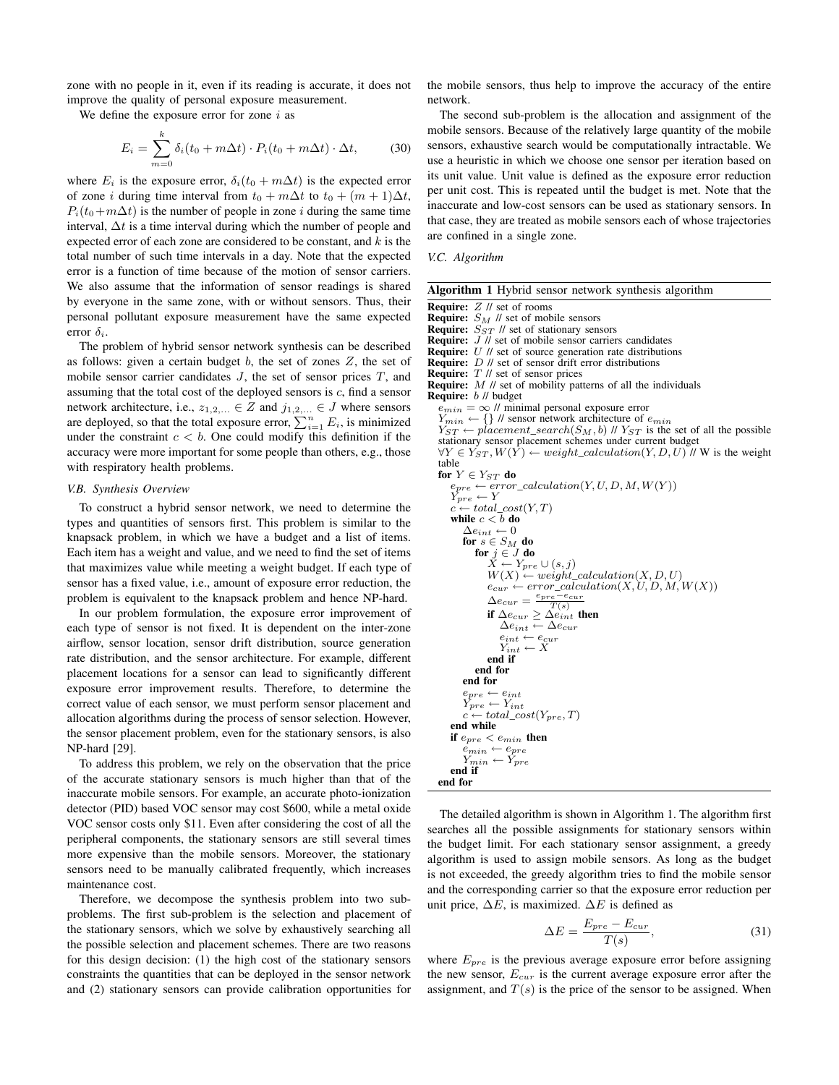zone with no people in it, even if its reading is accurate, it does not improve the quality of personal exposure measurement.

We define the exposure error for zone  $i$  as

$$
E_i = \sum_{m=0}^{k} \delta_i (t_0 + m\Delta t) \cdot P_i(t_0 + m\Delta t) \cdot \Delta t, \tag{30}
$$

where  $E_i$  is the exposure error,  $\delta_i(t_0 + m\Delta t)$  is the expected error of zone *i* during time interval from  $t_0 + m\Delta t$  to  $t_0 + (m + 1)\Delta t$ ,  $P_i(t_0+m\Delta t)$  is the number of people in zone *i* during the same time interval,  $\Delta t$  is a time interval during which the number of people and expected error of each zone are considered to be constant, and  $k$  is the total number of such time intervals in a day. Note that the expected error is a function of time because of the motion of sensor carriers. We also assume that the information of sensor readings is shared by everyone in the same zone, with or without sensors. Thus, their personal pollutant exposure measurement have the same expected error  $\delta_i$ .

The problem of hybrid sensor network synthesis can be described as follows: given a certain budget  $b$ , the set of zones  $Z$ , the set of mobile sensor carrier candidates  $J$ , the set of sensor prices  $T$ , and assuming that the total cost of the deployed sensors is  $c$ , find a sensor network architecture, i.e.,  $z_{1,2,...} \in Z$  and  $j_{1,2,...} \in J$  where sensors are deployed, so that the total exposure error,  $\sum_{i=1}^{n} E_i$ , is minimized under the constraint  $c < b$ . One could modify this definition if the accuracy were more important for some people than others, e.g., those with respiratory health problems.

## *V.B. Synthesis Overview*

To construct a hybrid sensor network, we need to determine the types and quantities of sensors first. This problem is similar to the knapsack problem, in which we have a budget and a list of items. Each item has a weight and value, and we need to find the set of items that maximizes value while meeting a weight budget. If each type of sensor has a fixed value, i.e., amount of exposure error reduction, the problem is equivalent to the knapsack problem and hence NP-hard.

In our problem formulation, the exposure error improvement of each type of sensor is not fixed. It is dependent on the inter-zone airflow, sensor location, sensor drift distribution, source generation rate distribution, and the sensor architecture. For example, different placement locations for a sensor can lead to significantly different exposure error improvement results. Therefore, to determine the correct value of each sensor, we must perform sensor placement and allocation algorithms during the process of sensor selection. However, the sensor placement problem, even for the stationary sensors, is also NP-hard [29].

To address this problem, we rely on the observation that the price of the accurate stationary sensors is much higher than that of the inaccurate mobile sensors. For example, an accurate photo-ionization detector (PID) based VOC sensor may cost \$600, while a metal oxide VOC sensor costs only \$11. Even after considering the cost of all the peripheral components, the stationary sensors are still several times more expensive than the mobile sensors. Moreover, the stationary sensors need to be manually calibrated frequently, which increases maintenance cost.

Therefore, we decompose the synthesis problem into two subproblems. The first sub-problem is the selection and placement of the stationary sensors, which we solve by exhaustively searching all the possible selection and placement schemes. There are two reasons for this design decision: (1) the high cost of the stationary sensors constraints the quantities that can be deployed in the sensor network and (2) stationary sensors can provide calibration opportunities for the mobile sensors, thus help to improve the accuracy of the entire network.

The second sub-problem is the allocation and assignment of the mobile sensors. Because of the relatively large quantity of the mobile sensors, exhaustive search would be computationally intractable. We use a heuristic in which we choose one sensor per iteration based on its unit value. Unit value is defined as the exposure error reduction per unit cost. This is repeated until the budget is met. Note that the inaccurate and low-cost sensors can be used as stationary sensors. In that case, they are treated as mobile sensors each of whose trajectories are confined in a single zone.

```
V.C. Algorithm
```

| Algorithm 1 Hybrid sensor network synthesis algorithm                                      |
|--------------------------------------------------------------------------------------------|
| Require: Z // set of rooms                                                                 |
| <b>Require:</b> $S_M$ // set of mobile sensors                                             |
| <b>Require:</b> $S_{ST}$ // set of stationary sensors                                      |
| <b>Require:</b> $J \parallel$ set of mobile sensor carriers candidates                     |
| <b>Require:</b> $U \parallel$ set of source generation rate distributions                  |
| <b>Require:</b> $D$ // set of sensor drift error distributions                             |
| <b>Require:</b> $T$ // set of sensor prices                                                |
| <b>Require:</b> $M$ // set of mobility patterns of all the individuals                     |
| <b>Require:</b> <i>b</i> // budget                                                         |
| $e_{min} = \infty$ // minimal personal exposure error                                      |
| $Y_{min} \leftarrow \{\}$ // sensor network architecture of $e_{min}$                      |
| $Y_{ST} \leftarrow placement\_search(S_M, b)$ // $Y_{ST}$ is the set of all the possible   |
| stationary sensor placement schemes under current budget                                   |
| $\forall Y \in Y_{ST}$ , $W(Y) \leftarrow weight\_calculation(Y, D, U)$ // W is the weight |
| table                                                                                      |
| for $Y \in Y_{ST}$ do                                                                      |
| $e_{pre} \leftarrow error\_calculation(Y, U, D, M, W(Y))$                                  |
| $Y_{\overline{pre}} \leftarrow Y$                                                          |
| $c \leftarrow total\_cost(Y, T)$                                                           |
| while $c < b$ do                                                                           |
| $\Delta e_{int} \leftarrow 0$                                                              |
| for $s \in S_M$ do                                                                         |
| for $j \in J$ do                                                                           |
| $X \leftarrow Y_{pre} \cup (s, j)$                                                         |
| $W(X) \leftarrow weight\_calculation(X, D, U)$                                             |
| $e_{cur} \leftarrow error\_calculation(X, U, D, M, W(X))$                                  |
| $\Delta e_{cur} = \frac{e_{pre} - e_{cur}}{T(s)}$                                          |
| if $\Delta e_{cur} \geq \Delta e_{int}$ then                                               |
| $\Delta e_{int} \leftarrow \Delta e_{cur}$                                                 |
|                                                                                            |
| $e_{int} \leftarrow e_{cur}$<br>$Y_{int} \leftarrow X$                                     |
| end if                                                                                     |
| end for                                                                                    |
| end for                                                                                    |
| $e_{pre} \leftarrow e_{int}$                                                               |
| $Y_{pre} \leftarrow Y_{int}$                                                               |
| $c \leftarrow total\_cost(Y_{pre}, T)$                                                     |
| end while                                                                                  |
| if $e_{pre} < e_{min}$ then                                                                |
| $e_{min} \leftarrow e_{pre}$                                                               |
| $Y_{min} \leftarrow \hat{Y}_{pre}$                                                         |
| end if                                                                                     |
| end for                                                                                    |
|                                                                                            |

The detailed algorithm is shown in Algorithm 1. The algorithm first searches all the possible assignments for stationary sensors within the budget limit. For each stationary sensor assignment, a greedy algorithm is used to assign mobile sensors. As long as the budget is not exceeded, the greedy algorithm tries to find the mobile sensor and the corresponding carrier so that the exposure error reduction per unit price,  $\Delta E$ , is maximized.  $\Delta E$  is defined as

$$
\Delta E = \frac{E_{pre} - E_{cur}}{T(s)},\tag{31}
$$

where  $E_{pre}$  is the previous average exposure error before assigning the new sensor,  $E_{cur}$  is the current average exposure error after the assignment, and  $T(s)$  is the price of the sensor to be assigned. When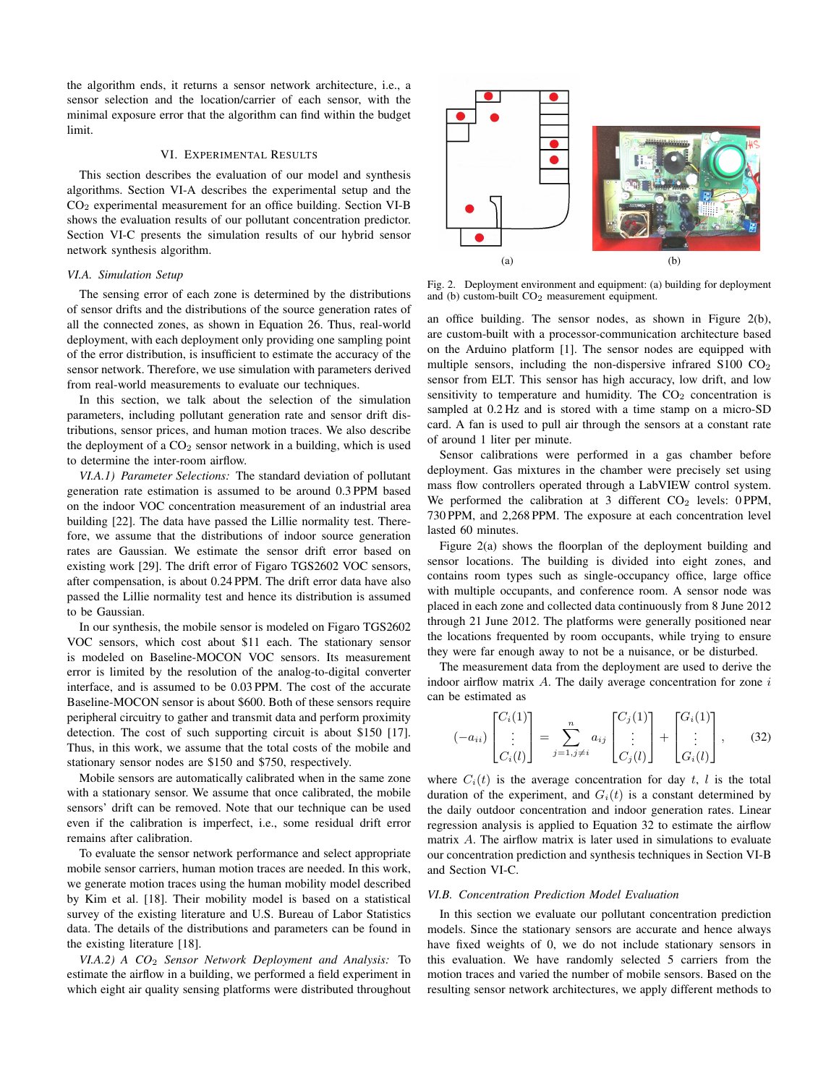the algorithm ends, it returns a sensor network architecture, i.e., a sensor selection and the location/carrier of each sensor, with the minimal exposure error that the algorithm can find within the budget limit.

## VI. EXPERIMENTAL RESULTS

This section describes the evaluation of our model and synthesis algorithms. Section VI-A describes the experimental setup and the CO<sup>2</sup> experimental measurement for an office building. Section VI-B shows the evaluation results of our pollutant concentration predictor. Section VI-C presents the simulation results of our hybrid sensor network synthesis algorithm.

## *VI.A. Simulation Setup*

The sensing error of each zone is determined by the distributions of sensor drifts and the distributions of the source generation rates of all the connected zones, as shown in Equation 26. Thus, real-world deployment, with each deployment only providing one sampling point of the error distribution, is insufficient to estimate the accuracy of the sensor network. Therefore, we use simulation with parameters derived from real-world measurements to evaluate our techniques.

In this section, we talk about the selection of the simulation parameters, including pollutant generation rate and sensor drift distributions, sensor prices, and human motion traces. We also describe the deployment of a  $CO<sub>2</sub>$  sensor network in a building, which is used to determine the inter-room airflow.

*VI.A.1) Parameter Selections:* The standard deviation of pollutant generation rate estimation is assumed to be around 0.3 PPM based on the indoor VOC concentration measurement of an industrial area building [22]. The data have passed the Lillie normality test. Therefore, we assume that the distributions of indoor source generation rates are Gaussian. We estimate the sensor drift error based on existing work [29]. The drift error of Figaro TGS2602 VOC sensors, after compensation, is about 0.24 PPM. The drift error data have also passed the Lillie normality test and hence its distribution is assumed to be Gaussian.

In our synthesis, the mobile sensor is modeled on Figaro TGS2602 VOC sensors, which cost about \$11 each. The stationary sensor is modeled on Baseline-MOCON VOC sensors. Its measurement error is limited by the resolution of the analog-to-digital converter interface, and is assumed to be 0.03 PPM. The cost of the accurate Baseline-MOCON sensor is about \$600. Both of these sensors require peripheral circuitry to gather and transmit data and perform proximity detection. The cost of such supporting circuit is about \$150 [17]. Thus, in this work, we assume that the total costs of the mobile and stationary sensor nodes are \$150 and \$750, respectively.

Mobile sensors are automatically calibrated when in the same zone with a stationary sensor. We assume that once calibrated, the mobile sensors' drift can be removed. Note that our technique can be used even if the calibration is imperfect, i.e., some residual drift error remains after calibration.

To evaluate the sensor network performance and select appropriate mobile sensor carriers, human motion traces are needed. In this work, we generate motion traces using the human mobility model described by Kim et al. [18]. Their mobility model is based on a statistical survey of the existing literature and U.S. Bureau of Labor Statistics data. The details of the distributions and parameters can be found in the existing literature [18].

*VI.A.2) A CO*<sup>2</sup> *Sensor Network Deployment and Analysis:* To estimate the airflow in a building, we performed a field experiment in which eight air quality sensing platforms were distributed throughout



Fig. 2. Deployment environment and equipment: (a) building for deployment and (b) custom-built  $CO<sub>2</sub>$  measurement equipment.

an office building. The sensor nodes, as shown in Figure 2(b), are custom-built with a processor-communication architecture based on the Arduino platform [1]. The sensor nodes are equipped with multiple sensors, including the non-dispersive infrared  $\text{S}100 \text{ } \text{CO}_2$ sensor from ELT. This sensor has high accuracy, low drift, and low sensitivity to temperature and humidity. The  $CO<sub>2</sub>$  concentration is sampled at 0.2 Hz and is stored with a time stamp on a micro-SD card. A fan is used to pull air through the sensors at a constant rate of around 1 liter per minute.

Sensor calibrations were performed in a gas chamber before deployment. Gas mixtures in the chamber were precisely set using mass flow controllers operated through a LabVIEW control system. We performed the calibration at 3 different  $CO<sub>2</sub>$  levels: 0 PPM, 730 PPM, and 2,268 PPM. The exposure at each concentration level lasted 60 minutes.

Figure 2(a) shows the floorplan of the deployment building and sensor locations. The building is divided into eight zones, and contains room types such as single-occupancy office, large office with multiple occupants, and conference room. A sensor node was placed in each zone and collected data continuously from 8 June 2012 through 21 June 2012. The platforms were generally positioned near the locations frequented by room occupants, while trying to ensure they were far enough away to not be a nuisance, or be disturbed.

The measurement data from the deployment are used to derive the indoor airflow matrix  $A$ . The daily average concentration for zone  $i$ can be estimated as

$$
(-a_{ii})\begin{bmatrix}C_i(1) \\ \vdots \\ C_i(l)\end{bmatrix} = \sum_{j=1,j\neq i}^n a_{ij} \begin{bmatrix}C_j(1) \\ \vdots \\ C_j(l)\end{bmatrix} + \begin{bmatrix}G_i(1) \\ \vdots \\ G_i(l)\end{bmatrix}, \quad (32)
$$

where  $C_i(t)$  is the average concentration for day t, l is the total duration of the experiment, and  $G_i(t)$  is a constant determined by the daily outdoor concentration and indoor generation rates. Linear regression analysis is applied to Equation 32 to estimate the airflow matrix A. The airflow matrix is later used in simulations to evaluate our concentration prediction and synthesis techniques in Section VI-B and Section VI-C.

## *VI.B. Concentration Prediction Model Evaluation*

In this section we evaluate our pollutant concentration prediction models. Since the stationary sensors are accurate and hence always have fixed weights of 0, we do not include stationary sensors in this evaluation. We have randomly selected 5 carriers from the motion traces and varied the number of mobile sensors. Based on the resulting sensor network architectures, we apply different methods to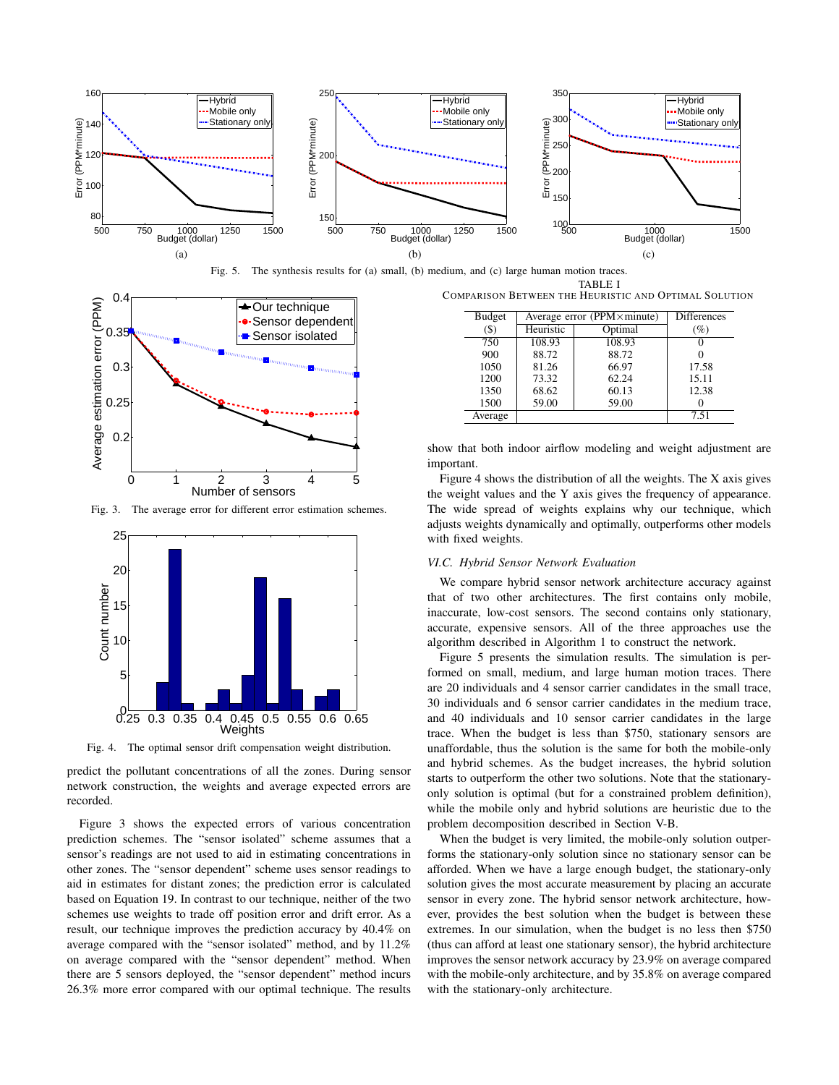

Fig. 5. The synthesis results for (a) small, (b) medium, and (c) large human motion traces. TABLE I



Fig. 3. The average error for different error estimation schemes.



Fig. 4. The optimal sensor drift compensation weight distribution.

predict the pollutant concentrations of all the zones. During sensor network construction, the weights and average expected errors are recorded.

Figure 3 shows the expected errors of various concentration prediction schemes. The "sensor isolated" scheme assumes that a sensor's readings are not used to aid in estimating concentrations in other zones. The "sensor dependent" scheme uses sensor readings to aid in estimates for distant zones; the prediction error is calculated based on Equation 19. In contrast to our technique, neither of the two schemes use weights to trade off position error and drift error. As a result, our technique improves the prediction accuracy by 40.4% on average compared with the "sensor isolated" method, and by 11.2% on average compared with the "sensor dependent" method. When there are 5 sensors deployed, the "sensor dependent" method incurs 26.3% more error compared with our optimal technique. The results

COMPARISON BETWEEN THE HEURISTIC AND OPTIMAL SOLUTION

| <b>Budget</b> | Average error (PPM×minute) |         | <b>Differences</b> |
|---------------|----------------------------|---------|--------------------|
| $($ \$)       | Heuristic                  | Optimal | $\%)$              |
| 750           | 108.93                     | 108.93  |                    |
| 900           | 88.72                      | 88.72   |                    |
| 1050          | 81.26                      | 66.97   | 17.58              |
| 1200          | 73.32                      | 62.24   | 15.11              |
| 1350          | 68.62                      | 60.13   | 12.38              |
| 1500          | 59.00                      | 59.00   |                    |
| Average       |                            |         | 7.51               |

show that both indoor airflow modeling and weight adjustment are important.

Figure 4 shows the distribution of all the weights. The X axis gives the weight values and the Y axis gives the frequency of appearance. The wide spread of weights explains why our technique, which adjusts weights dynamically and optimally, outperforms other models with fixed weights.

# *VI.C. Hybrid Sensor Network Evaluation*

We compare hybrid sensor network architecture accuracy against that of two other architectures. The first contains only mobile, inaccurate, low-cost sensors. The second contains only stationary, accurate, expensive sensors. All of the three approaches use the algorithm described in Algorithm 1 to construct the network.

Figure 5 presents the simulation results. The simulation is performed on small, medium, and large human motion traces. There are 20 individuals and 4 sensor carrier candidates in the small trace, 30 individuals and 6 sensor carrier candidates in the medium trace, and 40 individuals and 10 sensor carrier candidates in the large trace. When the budget is less than \$750, stationary sensors are unaffordable, thus the solution is the same for both the mobile-only and hybrid schemes. As the budget increases, the hybrid solution starts to outperform the other two solutions. Note that the stationaryonly solution is optimal (but for a constrained problem definition), while the mobile only and hybrid solutions are heuristic due to the problem decomposition described in Section V-B.

When the budget is very limited, the mobile-only solution outperforms the stationary-only solution since no stationary sensor can be afforded. When we have a large enough budget, the stationary-only solution gives the most accurate measurement by placing an accurate sensor in every zone. The hybrid sensor network architecture, however, provides the best solution when the budget is between these extremes. In our simulation, when the budget is no less then \$750 (thus can afford at least one stationary sensor), the hybrid architecture improves the sensor network accuracy by 23.9% on average compared with the mobile-only architecture, and by 35.8% on average compared with the stationary-only architecture.